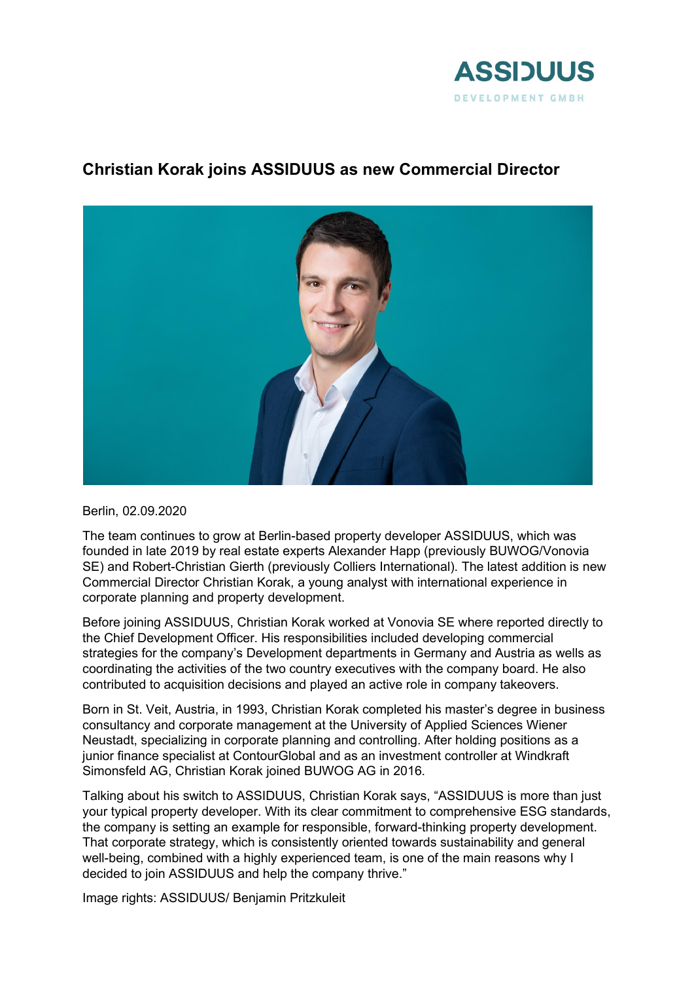

## **Christian Korak joins ASSIDUUS as new Commercial Director**



Berlin, 02.09.2020

The team continues to grow at Berlin-based property developer ASSIDUUS, which was founded in late 2019 by real estate experts Alexander Happ (previously BUWOG/Vonovia SE) and Robert-Christian Gierth (previously Colliers International). The latest addition is new Commercial Director Christian Korak, a young analyst with international experience in corporate planning and property development.

Before joining ASSIDUUS, Christian Korak worked at Vonovia SE where reported directly to the Chief Development Officer. His responsibilities included developing commercial strategies for the company's Development departments in Germany and Austria as wells as coordinating the activities of the two country executives with the company board. He also contributed to acquisition decisions and played an active role in company takeovers.

Born in St. Veit, Austria, in 1993, Christian Korak completed his master's degree in business consultancy and corporate management at the University of Applied Sciences Wiener Neustadt, specializing in corporate planning and controlling. After holding positions as a junior finance specialist at ContourGlobal and as an investment controller at Windkraft Simonsfeld AG, Christian Korak joined BUWOG AG in 2016.

Talking about his switch to ASSIDUUS, Christian Korak says, "ASSIDUUS is more than just your typical property developer. With its clear commitment to comprehensive ESG standards, the company is setting an example for responsible, forward-thinking property development. That corporate strategy, which is consistently oriented towards sustainability and general well-being, combined with a highly experienced team, is one of the main reasons why I decided to join ASSIDUUS and help the company thrive."

Image rights: ASSIDUUS/ Benjamin Pritzkuleit